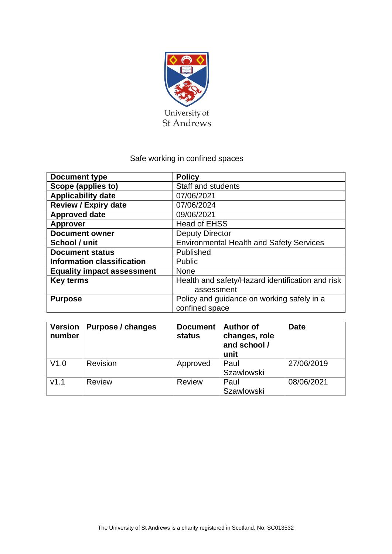

# Safe working in confined spaces

| <b>Document type</b>              | <b>Policy</b>                                    |  |
|-----------------------------------|--------------------------------------------------|--|
| Scope (applies to)                | <b>Staff and students</b>                        |  |
| <b>Applicability date</b>         | 07/06/2021                                       |  |
| <b>Review / Expiry date</b>       | 07/06/2024                                       |  |
| <b>Approved date</b>              | 09/06/2021                                       |  |
| <b>Approver</b>                   | <b>Head of EHSS</b>                              |  |
| <b>Document owner</b>             | <b>Deputy Director</b>                           |  |
| School / unit                     | <b>Environmental Health and Safety Services</b>  |  |
| <b>Document status</b>            | Published                                        |  |
| <b>Information classification</b> | Public                                           |  |
| <b>Equality impact assessment</b> | <b>None</b>                                      |  |
| <b>Key terms</b>                  | Health and safety/Hazard identification and risk |  |
|                                   | assessment                                       |  |
| <b>Purpose</b>                    | Policy and guidance on working safely in a       |  |
|                                   | confined space                                   |  |

| <b>Version</b><br>number | Purpose / changes | <b>Document</b><br>status | <b>Author of</b><br>changes, role<br>and school /<br>unit | <b>Date</b> |
|--------------------------|-------------------|---------------------------|-----------------------------------------------------------|-------------|
| V1.0                     | Revision          | Approved                  | Paul                                                      | 27/06/2019  |
|                          |                   |                           | <b>Szawlowski</b>                                         |             |
| V1.1                     | <b>Review</b>     | <b>Review</b>             | Paul                                                      | 08/06/2021  |
|                          |                   |                           | Szawlowski                                                |             |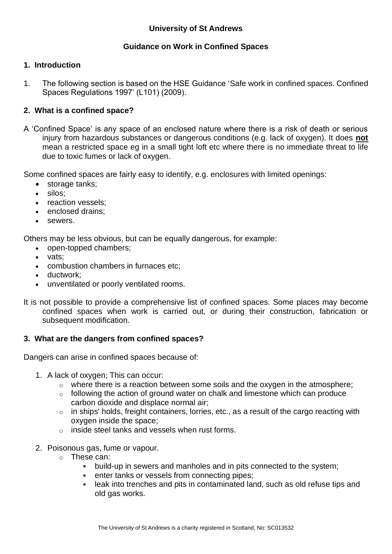# **Guidance on Work in Confined Spaces**

# **1. Introduction**

1. The following section is based on the HSE Guidance 'Safe work in confined spaces. Confined Spaces Regulations 1997' (L101) (2009).

# **2. What is a confined space?**

A 'Confined Space' is any space of an enclosed nature where there is a risk of death or serious injury from hazardous substances or dangerous conditions (e.g. lack of oxygen). It does **not** mean a restricted space eg in a small tight loft etc where there is no immediate threat to life due to toxic fumes or lack of oxygen.

Some confined spaces are fairly easy to identify, e.g. enclosures with limited openings:

- storage tanks:
- silos;
- reaction vessels:
- enclosed drains;
- sewers.

Others may be less obvious, but can be equally dangerous, for example:

- open-topped chambers;
- vats:
- combustion chambers in furnaces etc;
- ductwork:
- unventilated or poorly ventilated rooms.
- It is not possible to provide a comprehensive list of confined spaces. Some places may become confined spaces when work is carried out, or during their construction, fabrication or subsequent modification.

# **3. What are the dangers from confined spaces?**

Dangers can arise in confined spaces because of:

- 1. A lack of oxygen; This can occur:
	- o where there is a reaction between some soils and the oxygen in the atmosphere;
	- $\circ$  following the action of ground water on chalk and limestone which can produce carbon dioxide and displace normal air;
	- o in ships' holds, freight containers, lorries, etc., as a result of the cargo reacting with oxygen inside the space;
	- o inside steel tanks and vessels when rust forms.
- 2. Poisonous gas, fume or vapour.
	- o These can:
		- build-up in sewers and manholes and in pits connected to the system;
		- enter tanks or vessels from connecting pipes;
		- leak into trenches and pits in contaminated land, such as old refuse tips and old gas works.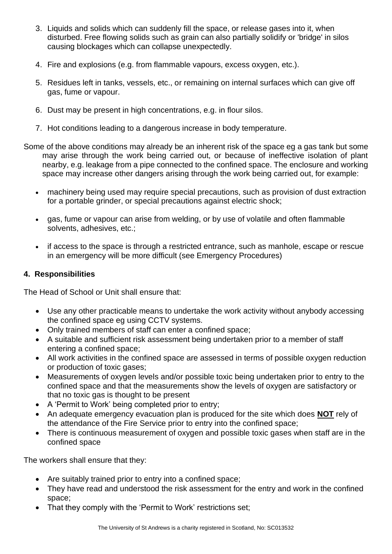- 3. Liquids and solids which can suddenly fill the space, or release gases into it, when disturbed. Free flowing solids such as grain can also partially solidify or 'bridge' in silos causing blockages which can collapse unexpectedly.
- 4. Fire and explosions (e.g. from flammable vapours, excess oxygen, etc.).
- 5. Residues left in tanks, vessels, etc., or remaining on internal surfaces which can give off gas, fume or vapour.
- 6. Dust may be present in high concentrations, e.g. in flour silos.
- 7. Hot conditions leading to a dangerous increase in body temperature.
- Some of the above conditions may already be an inherent risk of the space eg a gas tank but some may arise through the work being carried out, or because of ineffective isolation of plant nearby, e.g. leakage from a pipe connected to the confined space. The enclosure and working space may increase other dangers arising through the work being carried out, for example:
	- machinery being used may require special precautions, such as provision of dust extraction for a portable grinder, or special precautions against electric shock;
	- gas, fume or vapour can arise from welding, or by use of volatile and often flammable solvents, adhesives, etc.;
	- if access to the space is through a restricted entrance, such as manhole, escape or rescue in an emergency will be more difficult (see Emergency Procedures)

## **4. Responsibilities**

The Head of School or Unit shall ensure that:

- Use any other practicable means to undertake the work activity without anybody accessing the confined space eg using CCTV systems.
- Only trained members of staff can enter a confined space;
- A suitable and sufficient risk assessment being undertaken prior to a member of staff entering a confined space;
- All work activities in the confined space are assessed in terms of possible oxygen reduction or production of toxic gases;
- Measurements of oxygen levels and/or possible toxic being undertaken prior to entry to the confined space and that the measurements show the levels of oxygen are satisfactory or that no toxic gas is thought to be present
- A 'Permit to Work' being completed prior to entry;
- An adequate emergency evacuation plan is produced for the site which does **NOT** rely of the attendance of the Fire Service prior to entry into the confined space;
- There is continuous measurement of oxygen and possible toxic gases when staff are in the confined space

The workers shall ensure that they:

- Are suitably trained prior to entry into a confined space;
- They have read and understood the risk assessment for the entry and work in the confined space;
- That they comply with the 'Permit to Work' restrictions set;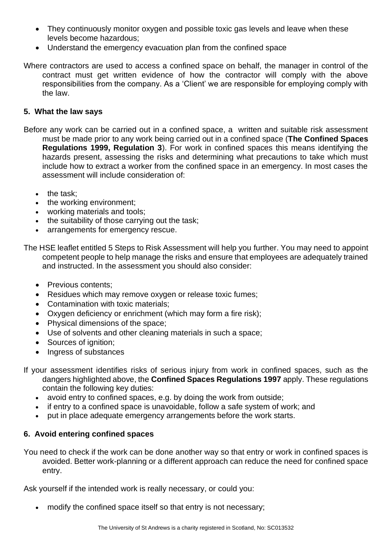- They continuously monitor oxygen and possible toxic gas levels and leave when these levels become hazardous;
- Understand the emergency evacuation plan from the confined space

Where contractors are used to access a confined space on behalf, the manager in control of the contract must get written evidence of how the contractor will comply with the above responsibilities from the company. As a 'Client' we are responsible for employing comply with the law.

# **5. What the law says**

Before any work can be carried out in a confined space, a written and suitable risk assessment must be made prior to any work being carried out in a confined space (**The Confined Spaces Regulations 1999, Regulation 3**). For work in confined spaces this means identifying the hazards present, assessing the risks and determining what precautions to take which must include how to extract a worker from the confined space in an emergency. In most cases the assessment will include consideration of:

- the task:
- the working environment;
- working materials and tools;
- the suitability of those carrying out the task;
- arrangements for emergency rescue.

The HSE leaflet entitled 5 Steps to Risk Assessment will help you further. You may need to appoint competent people to help manage the risks and ensure that employees are adequately trained and instructed. In the assessment you should also consider:

- Previous contents:
- Residues which may remove oxygen or release toxic fumes;
- Contamination with toxic materials;
- Oxygen deficiency or enrichment (which may form a fire risk);
- Physical dimensions of the space;
- Use of solvents and other cleaning materials in such a space;
- Sources of ignition:
- Ingress of substances
- If your assessment identifies risks of serious injury from work in confined spaces, such as the dangers highlighted above, the **Confined Spaces Regulations 1997** apply. These regulations contain the following key duties:
	- avoid entry to confined spaces, e.g. by doing the work from outside;
	- if entry to a confined space is unavoidable, follow a safe system of work; and
	- put in place adequate emergency arrangements before the work starts.

# **6. Avoid entering confined spaces**

You need to check if the work can be done another way so that entry or work in confined spaces is avoided. Better work-planning or a different approach can reduce the need for confined space entry.

Ask yourself if the intended work is really necessary, or could you:

• modify the confined space itself so that entry is not necessary;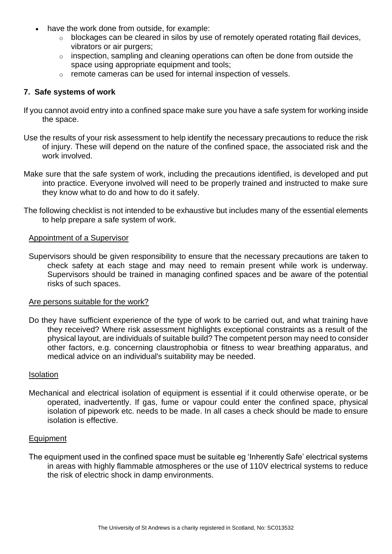- have the work done from outside, for example:
	- o blockages can be cleared in silos by use of remotely operated rotating flail devices, vibrators or air purgers;
	- o inspection, sampling and cleaning operations can often be done from outside the space using appropriate equipment and tools;
	- o remote cameras can be used for internal inspection of vessels.

## **7. Safe systems of work**

- If you cannot avoid entry into a confined space make sure you have a safe system for working inside the space.
- Use the results of your risk assessment to help identify the necessary precautions to reduce the risk of injury. These will depend on the nature of the confined space, the associated risk and the work involved.
- Make sure that the safe system of work, including the precautions identified, is developed and put into practice. Everyone involved will need to be properly trained and instructed to make sure they know what to do and how to do it safely.
- The following checklist is not intended to be exhaustive but includes many of the essential elements to help prepare a safe system of work.

#### Appointment of a Supervisor

Supervisors should be given responsibility to ensure that the necessary precautions are taken to check safety at each stage and may need to remain present while work is underway. Supervisors should be trained in managing confined spaces and be aware of the potential risks of such spaces.

#### Are persons suitable for the work?

Do they have sufficient experience of the type of work to be carried out, and what training have they received? Where risk assessment highlights exceptional constraints as a result of the physical layout, are individuals of suitable build? The competent person may need to consider other factors, e.g. concerning claustrophobia or fitness to wear breathing apparatus, and medical advice on an individual's suitability may be needed.

#### Isolation

Mechanical and electrical isolation of equipment is essential if it could otherwise operate, or be operated, inadvertently. If gas, fume or vapour could enter the confined space, physical isolation of pipework etc. needs to be made. In all cases a check should be made to ensure isolation is effective.

#### Equipment

The equipment used in the confined space must be suitable eg 'Inherently Safe' electrical systems in areas with highly flammable atmospheres or the use of 110V electrical systems to reduce the risk of electric shock in damp environments.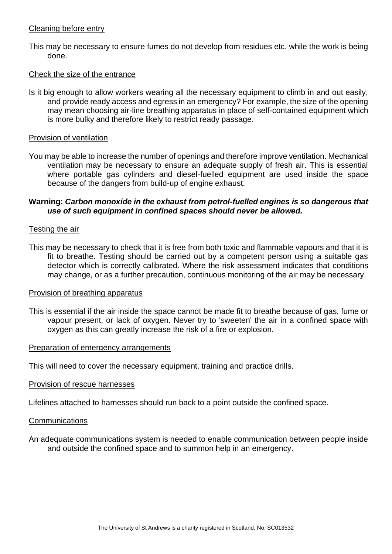#### Cleaning before entry

This may be necessary to ensure fumes do not develop from residues etc. while the work is being done.

#### Check the size of the entrance

Is it big enough to allow workers wearing all the necessary equipment to climb in and out easily, and provide ready access and egress in an emergency? For example, the size of the opening may mean choosing air-line breathing apparatus in place of self-contained equipment which is more bulky and therefore likely to restrict ready passage.

### Provision of ventilation

You may be able to increase the number of openings and therefore improve ventilation. Mechanical ventilation may be necessary to ensure an adequate supply of fresh air. This is essential where portable gas cylinders and diesel-fuelled equipment are used inside the space because of the dangers from build-up of engine exhaust.

## **Warning:** *Carbon monoxide in the exhaust from petrol-fuelled engines is so dangerous that use of such equipment in confined spaces should never be allowed.*

## Testing the air

This may be necessary to check that it is free from both toxic and flammable vapours and that it is fit to breathe. Testing should be carried out by a competent person using a suitable gas detector which is correctly calibrated. Where the risk assessment indicates that conditions may change, or as a further precaution, continuous monitoring of the air may be necessary.

## Provision of breathing apparatus

This is essential if the air inside the space cannot be made fit to breathe because of gas, fume or vapour present, or lack of oxygen. Never try to 'sweeten' the air in a confined space with oxygen as this can greatly increase the risk of a fire or explosion.

#### Preparation of emergency arrangements

This will need to cover the necessary equipment, training and practice drills.

#### Provision of rescue harnesses

Lifelines attached to harnesses should run back to a point outside the confined space.

#### **Communications**

An adequate communications system is needed to enable communication between people inside and outside the confined space and to summon help in an emergency.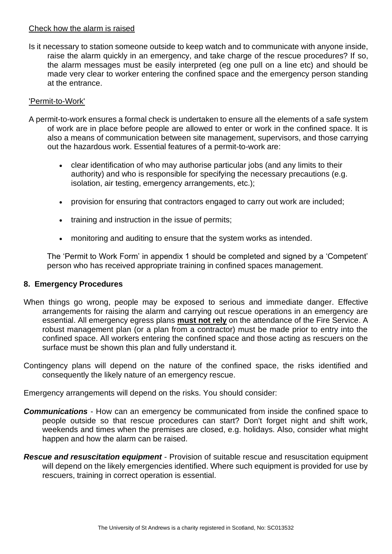## Check how the alarm is raised

Is it necessary to station someone outside to keep watch and to communicate with anyone inside, raise the alarm quickly in an emergency, and take charge of the rescue procedures? If so, the alarm messages must be easily interpreted (eg one pull on a line etc) and should be made very clear to worker entering the confined space and the emergency person standing at the entrance.

## 'Permit-to-Work'

- A permit-to-work ensures a formal check is undertaken to ensure all the elements of a safe system of work are in place before people are allowed to enter or work in the confined space. It is also a means of communication between site management, supervisors, and those carrying out the hazardous work. Essential features of a permit-to-work are:
	- clear identification of who may authorise particular jobs (and any limits to their authority) and who is responsible for specifying the necessary precautions (e.g. isolation, air testing, emergency arrangements, etc.);
	- provision for ensuring that contractors engaged to carry out work are included;
	- training and instruction in the issue of permits:
	- monitoring and auditing to ensure that the system works as intended.

The 'Permit to Work Form' in appendix 1 should be completed and signed by a 'Competent' person who has received appropriate training in confined spaces management.

#### **8. Emergency Procedures**

- When things go wrong, people may be exposed to serious and immediate danger. Effective arrangements for raising the alarm and carrying out rescue operations in an emergency are essential. All emergency egress plans **must not rely** on the attendance of the Fire Service. A robust management plan (or a plan from a contractor) must be made prior to entry into the confined space. All workers entering the confined space and those acting as rescuers on the surface must be shown this plan and fully understand it.
- Contingency plans will depend on the nature of the confined space, the risks identified and consequently the likely nature of an emergency rescue.

Emergency arrangements will depend on the risks. You should consider:

- **Communications** How can an emergency be communicated from inside the confined space to people outside so that rescue procedures can start? Don't forget night and shift work, weekends and times when the premises are closed, e.g. holidays. Also, consider what might happen and how the alarm can be raised.
- *Rescue and resuscitation equipment*  Provision of suitable rescue and resuscitation equipment will depend on the likely emergencies identified. Where such equipment is provided for use by rescuers, training in correct operation is essential.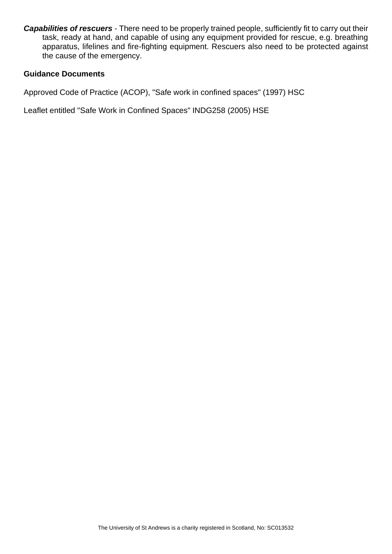*Capabilities of rescuers* - There need to be properly trained people, sufficiently fit to carry out their task, ready at hand, and capable of using any equipment provided for rescue, e.g. breathing apparatus, lifelines and fire-fighting equipment. Rescuers also need to be protected against the cause of the emergency.

## **Guidance Documents**

Approved Code of Practice (ACOP), "Safe work in confined spaces" (1997) HSC

Leaflet entitled "Safe Work in Confined Spaces" INDG258 (2005) HSE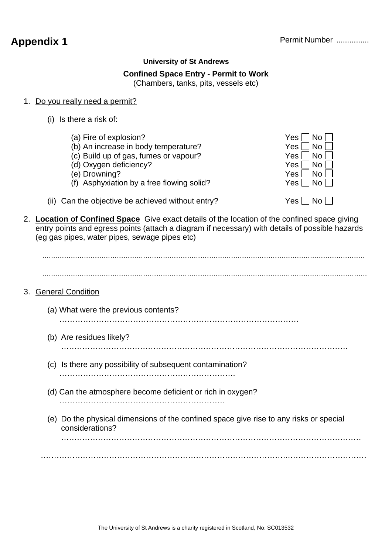## **University of St Andrews**

## **Confined Space Entry - Permit to Work**

(Chambers, tanks, pits, vessels etc)

## 1. Do you really need a permit?

(i) Is there a risk of:

(e) Drowning?

- (a) Fire of explosion?  $\blacksquare$  No  $\blacksquare$  No  $\blacksquare$ (b) An increase in body temperature?  $Yes \Box No \ [$  (c) Build up of gas. fumes or vapour?  $Yes \Box No \ [$ (c) Build up of gas, fumes or vapour? (d) Oxygen deficiency? Yes No (f) Asphyxiation by a free flowing solid?  $Yes \Box No$
- (ii) Can the objective be achieved without entry?  $Yes \Box No \Box$

2. **Location of Confined Space** Give exact details of the location of the confined space giving entry points and egress points (attach a diagram if necessary) with details of possible hazards (eg gas pipes, water pipes, sewage pipes etc)

................................................................................................................................................... ....................................................................................................................................................

## 3. General Condition

(a) What were the previous contents?

……………………………………………………………………………….

- (b) Are residues likely?
	- ……………………………………………………………………………………………….
- (c) Is there any possibility of subsequent contamination? ………………………………………………………….
- (d) Can the atmosphere become deficient or rich in oxygen? ………………………………………………………
- (e) Do the physical dimensions of the confined space give rise to any risks or special considerations?

………………………………………………………………………………….…………………………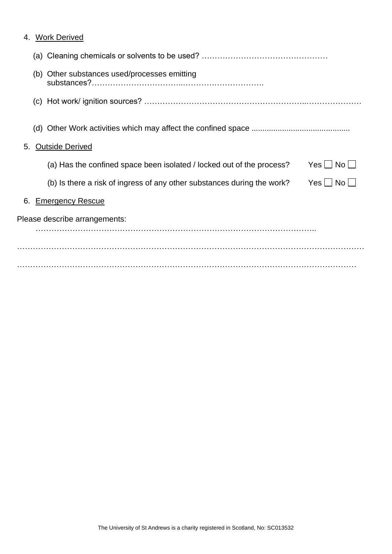| <b>Work Derived</b><br>4.                                                                        |
|--------------------------------------------------------------------------------------------------|
|                                                                                                  |
| (b) Other substances used/processes emitting                                                     |
|                                                                                                  |
| (d)                                                                                              |
| <b>Outside Derived</b><br>5.                                                                     |
| $Yes \mid No \mid \mid$<br>(a) Has the confined space been isolated / locked out of the process? |
| (b) Is there a risk of ingress of any other substances during the work?<br>$Yes \Box No \Box$    |
| <b>Emergency Rescue</b><br>6.                                                                    |
| Please describe arrangements:                                                                    |
|                                                                                                  |
|                                                                                                  |
|                                                                                                  |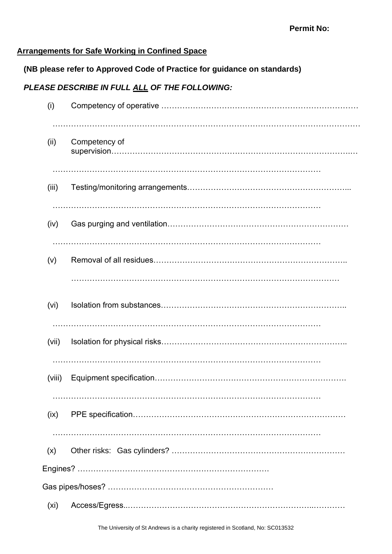# **Arrangements for Safe Working in Confined Space**

# **(NB please refer to Approved Code of Practice for guidance on standards)**

# *PLEASE DESCRIBE IN FULL ALL OF THE FOLLOWING:*

| (i)    |               |
|--------|---------------|
| (ii)   | Competency of |
| (iii)  |               |
| (iv)   |               |
| (v)    |               |
| (vi)   |               |
| (vii)  |               |
| (viii) |               |
| (ix)   |               |
| (x)    |               |
|        |               |
|        |               |
| (xi)   |               |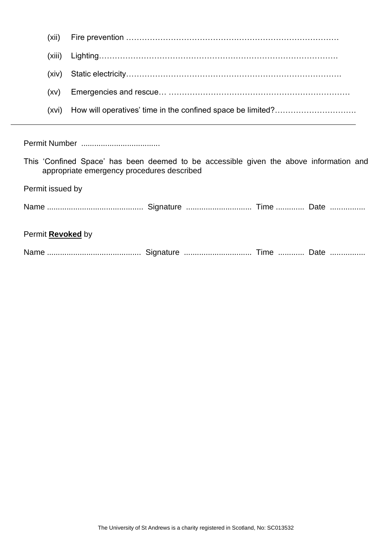|                                                                                                                                      | (xii)  |  |  |  |  |
|--------------------------------------------------------------------------------------------------------------------------------------|--------|--|--|--|--|
|                                                                                                                                      | (xiii) |  |  |  |  |
|                                                                                                                                      | (xiv)  |  |  |  |  |
|                                                                                                                                      | (xv)   |  |  |  |  |
|                                                                                                                                      | (xvi)  |  |  |  |  |
|                                                                                                                                      |        |  |  |  |  |
|                                                                                                                                      |        |  |  |  |  |
| This 'Confined Space' has been deemed to be accessible given the above information and<br>appropriate emergency procedures described |        |  |  |  |  |
| Permit issued by                                                                                                                     |        |  |  |  |  |
|                                                                                                                                      |        |  |  |  |  |
| Permit <b>Revoked</b> by                                                                                                             |        |  |  |  |  |
|                                                                                                                                      |        |  |  |  |  |